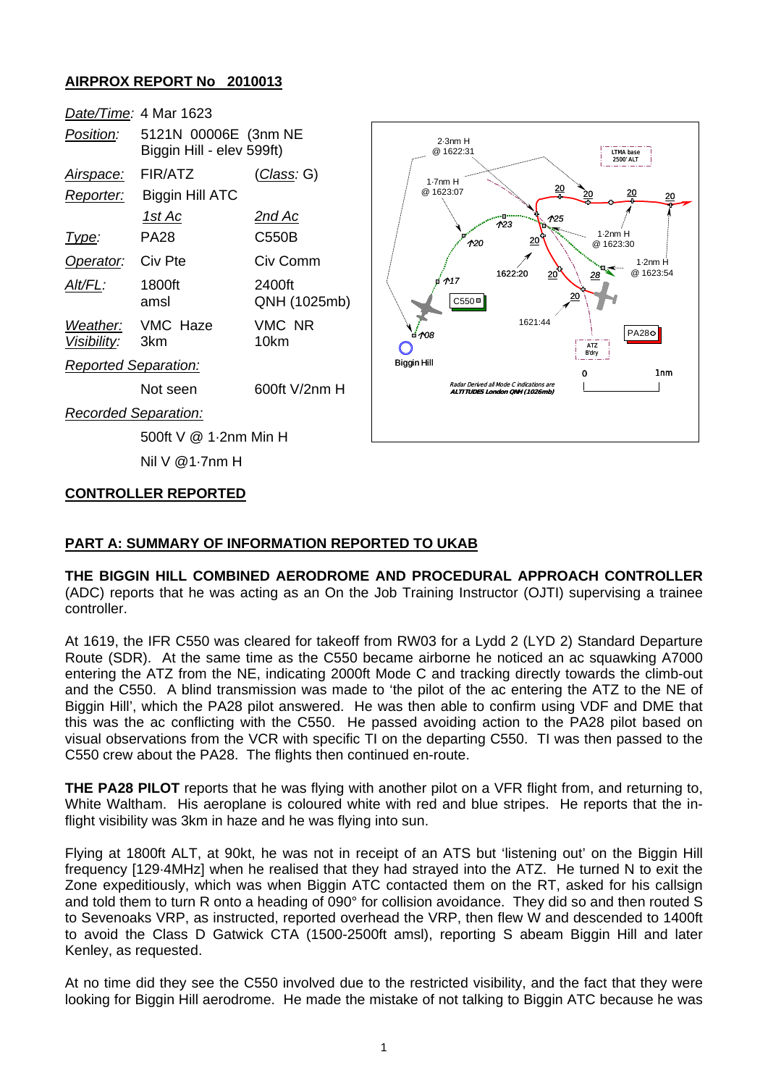## **AIRPROX REPORT No 2010013**



### **CONTROLLER REPORTED**

### **PART A: SUMMARY OF INFORMATION REPORTED TO UKAB**

**THE BIGGIN HILL COMBINED AERODROME AND PROCEDURAL APPROACH CONTROLLER** (ADC) reports that he was acting as an On the Job Training Instructor (OJTI) supervising a trainee controller.

At 1619, the IFR C550 was cleared for takeoff from RW03 for a Lydd 2 (LYD 2) Standard Departure Route (SDR). At the same time as the C550 became airborne he noticed an ac squawking A7000 entering the ATZ from the NE, indicating 2000ft Mode C and tracking directly towards the climb-out and the C550. A blind transmission was made to 'the pilot of the ac entering the ATZ to the NE of Biggin Hill', which the PA28 pilot answered. He was then able to confirm using VDF and DME that this was the ac conflicting with the C550. He passed avoiding action to the PA28 pilot based on visual observations from the VCR with specific TI on the departing C550. TI was then passed to the C550 crew about the PA28. The flights then continued en-route.

**THE PA28 PILOT** reports that he was flying with another pilot on a VFR flight from, and returning to, White Waltham. His aeroplane is coloured white with red and blue stripes. He reports that the inflight visibility was 3km in haze and he was flying into sun.

Flying at 1800ft ALT, at 90kt, he was not in receipt of an ATS but 'listening out' on the Biggin Hill frequency [129·4MHz] when he realised that they had strayed into the ATZ. He turned N to exit the Zone expeditiously, which was when Biggin ATC contacted them on the RT, asked for his callsign and told them to turn R onto a heading of 090° for collision avoidance. They did so and then routed S to Sevenoaks VRP, as instructed, reported overhead the VRP, then flew W and descended to 1400ft to avoid the Class D Gatwick CTA (1500-2500ft amsl), reporting S abeam Biggin Hill and later Kenley, as requested.

At no time did they see the C550 involved due to the restricted visibility, and the fact that they were looking for Biggin Hill aerodrome. He made the mistake of not talking to Biggin ATC because he was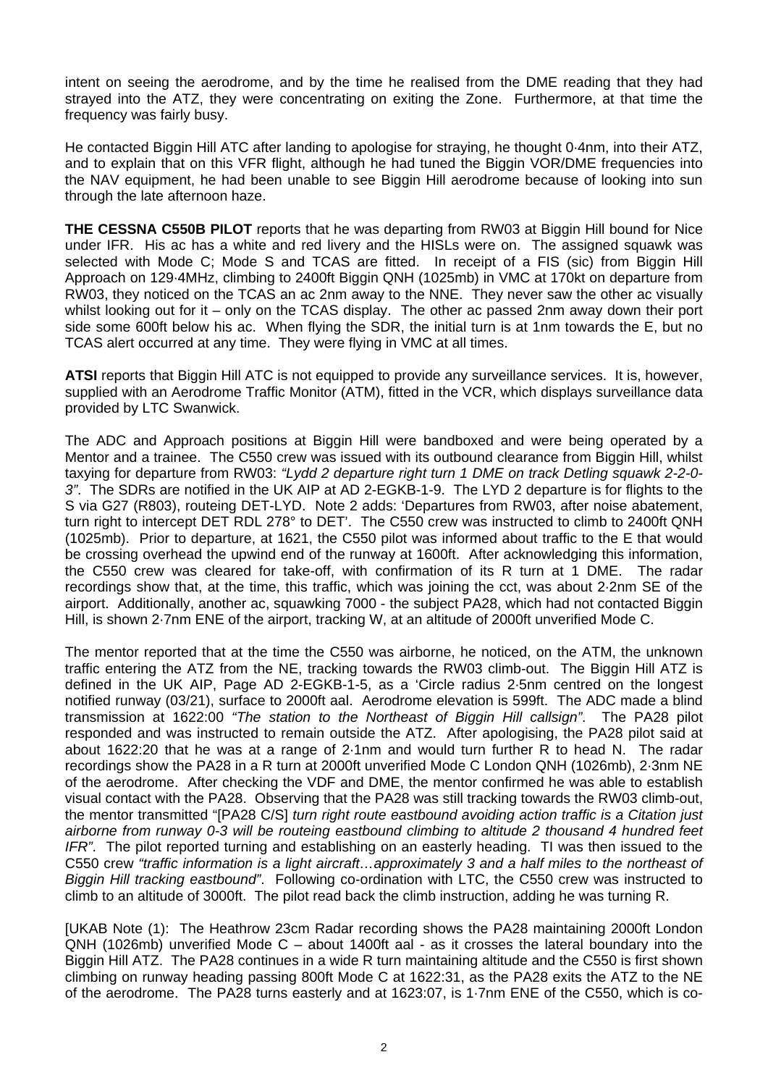intent on seeing the aerodrome, and by the time he realised from the DME reading that they had strayed into the ATZ, they were concentrating on exiting the Zone. Furthermore, at that time the frequency was fairly busy.

He contacted Biggin Hill ATC after landing to apologise for straying, he thought 0·4nm, into their ATZ, and to explain that on this VFR flight, although he had tuned the Biggin VOR/DME frequencies into the NAV equipment, he had been unable to see Biggin Hill aerodrome because of looking into sun through the late afternoon haze.

**THE CESSNA C550B PILOT** reports that he was departing from RW03 at Biggin Hill bound for Nice under IFR. His ac has a white and red livery and the HISLs were on. The assigned squawk was selected with Mode C; Mode S and TCAS are fitted. In receipt of a FIS (sic) from Biggin Hill Approach on 129·4MHz, climbing to 2400ft Biggin QNH (1025mb) in VMC at 170kt on departure from RW03, they noticed on the TCAS an ac 2nm away to the NNE. They never saw the other ac visually whilst looking out for it – only on the TCAS display. The other ac passed 2nm away down their port side some 600ft below his ac. When flying the SDR, the initial turn is at 1nm towards the E, but no TCAS alert occurred at any time. They were flying in VMC at all times.

**ATSI** reports that Biggin Hill ATC is not equipped to provide any surveillance services. It is, however, supplied with an Aerodrome Traffic Monitor (ATM), fitted in the VCR, which displays surveillance data provided by LTC Swanwick.

The ADC and Approach positions at Biggin Hill were bandboxed and were being operated by a Mentor and a trainee. The C550 crew was issued with its outbound clearance from Biggin Hill, whilst taxying for departure from RW03: *"Lydd 2 departure right turn 1 DME on track Detling squawk 2-2-0- 3"*. The SDRs are notified in the UK AIP at AD 2-EGKB-1-9. The LYD 2 departure is for flights to the S via G27 (R803), routeing DET-LYD. Note 2 adds: 'Departures from RW03, after noise abatement, turn right to intercept DET RDL 278° to DET'. The C550 crew was instructed to climb to 2400ft QNH (1025mb). Prior to departure, at 1621, the C550 pilot was informed about traffic to the E that would be crossing overhead the upwind end of the runway at 1600ft. After acknowledging this information, the C550 crew was cleared for take-off, with confirmation of its R turn at 1 DME. The radar recordings show that, at the time, this traffic, which was joining the cct, was about 2·2nm SE of the airport. Additionally, another ac, squawking 7000 - the subject PA28, which had not contacted Biggin Hill, is shown 2·7nm ENE of the airport, tracking W, at an altitude of 2000ft unverified Mode C.

The mentor reported that at the time the C550 was airborne, he noticed, on the ATM, the unknown traffic entering the ATZ from the NE, tracking towards the RW03 climb-out. The Biggin Hill ATZ is defined in the UK AIP, Page AD 2-EGKB-1-5, as a 'Circle radius 2·5nm centred on the longest notified runway (03/21), surface to 2000ft aal. Aerodrome elevation is 599ft. The ADC made a blind transmission at 1622:00 *"The station to the Northeast of Biggin Hill callsign"*. The PA28 pilot responded and was instructed to remain outside the ATZ. After apologising, the PA28 pilot said at about 1622:20 that he was at a range of 2·1nm and would turn further R to head N. The radar recordings show the PA28 in a R turn at 2000ft unverified Mode C London QNH (1026mb), 2·3nm NE of the aerodrome. After checking the VDF and DME, the mentor confirmed he was able to establish visual contact with the PA28. Observing that the PA28 was still tracking towards the RW03 climb-out, the mentor transmitted "[PA28 C/S] *turn right route eastbound avoiding action traffic is a Citation just airborne from runway 0-3 will be routeing eastbound climbing to altitude 2 thousand 4 hundred feet IFR"*. The pilot reported turning and establishing on an easterly heading. TI was then issued to the C550 crew *"traffic information is a light aircraft…approximately 3 and a half miles to the northeast of Biggin Hill tracking eastbound"*. Following co-ordination with LTC, the C550 crew was instructed to climb to an altitude of 3000ft. The pilot read back the climb instruction, adding he was turning R.

[UKAB Note (1): The Heathrow 23cm Radar recording shows the PA28 maintaining 2000ft London QNH (1026mb) unverified Mode C – about 1400ft aal - as it crosses the lateral boundary into the Biggin Hill ATZ. The PA28 continues in a wide R turn maintaining altitude and the C550 is first shown climbing on runway heading passing 800ft Mode C at 1622:31, as the PA28 exits the ATZ to the NE of the aerodrome. The PA28 turns easterly and at 1623:07, is 1·7nm ENE of the C550, which is co-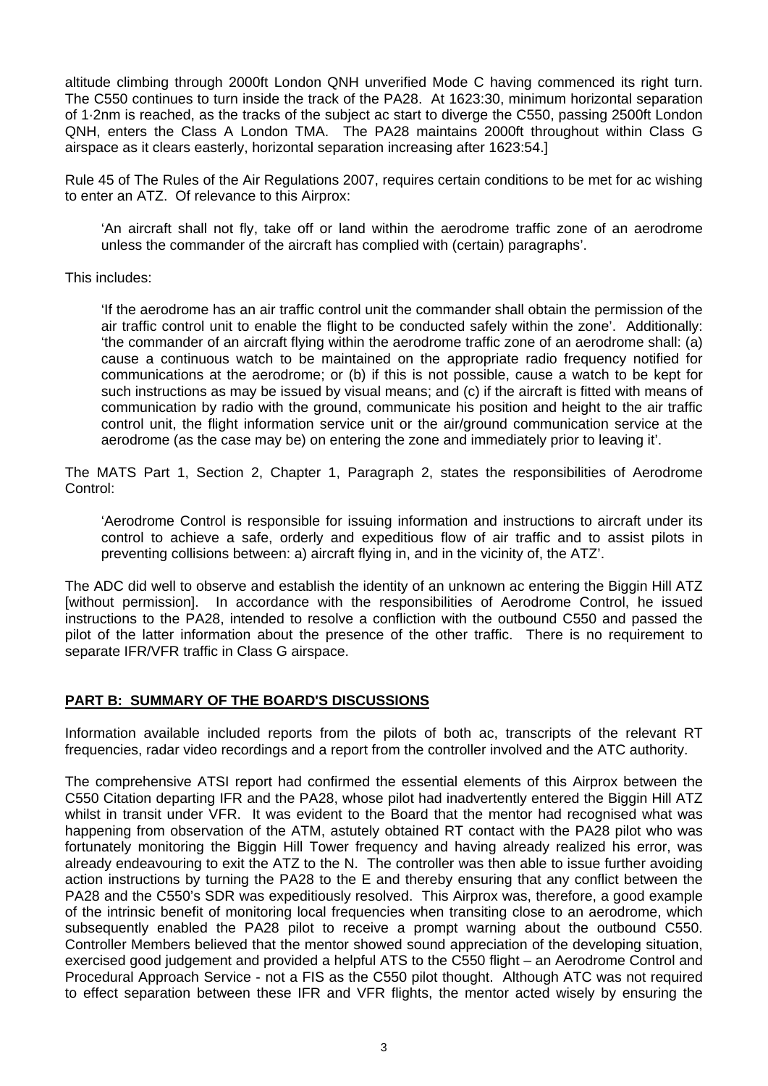altitude climbing through 2000ft London QNH unverified Mode C having commenced its right turn. The C550 continues to turn inside the track of the PA28. At 1623:30, minimum horizontal separation of 1·2nm is reached, as the tracks of the subject ac start to diverge the C550, passing 2500ft London QNH, enters the Class A London TMA. The PA28 maintains 2000ft throughout within Class G airspace as it clears easterly, horizontal separation increasing after 1623:54.]

Rule 45 of The Rules of the Air Regulations 2007, requires certain conditions to be met for ac wishing to enter an ATZ. Of relevance to this Airprox:

'An aircraft shall not fly, take off or land within the aerodrome traffic zone of an aerodrome unless the commander of the aircraft has complied with (certain) paragraphs'.

This includes:

'If the aerodrome has an air traffic control unit the commander shall obtain the permission of the air traffic control unit to enable the flight to be conducted safely within the zone'. Additionally: 'the commander of an aircraft flying within the aerodrome traffic zone of an aerodrome shall: (a) cause a continuous watch to be maintained on the appropriate radio frequency notified for communications at the aerodrome; or (b) if this is not possible, cause a watch to be kept for such instructions as may be issued by visual means; and (c) if the aircraft is fitted with means of communication by radio with the ground, communicate his position and height to the air traffic control unit, the flight information service unit or the air/ground communication service at the aerodrome (as the case may be) on entering the zone and immediately prior to leaving it'.

The MATS Part 1, Section 2, Chapter 1, Paragraph 2, states the responsibilities of Aerodrome Control:

'Aerodrome Control is responsible for issuing information and instructions to aircraft under its control to achieve a safe, orderly and expeditious flow of air traffic and to assist pilots in preventing collisions between: a) aircraft flying in, and in the vicinity of, the ATZ'.

The ADC did well to observe and establish the identity of an unknown ac entering the Biggin Hill ATZ [without permission]. In accordance with the responsibilities of Aerodrome Control, he issued instructions to the PA28, intended to resolve a confliction with the outbound C550 and passed the pilot of the latter information about the presence of the other traffic. There is no requirement to separate IFR/VFR traffic in Class G airspace.

### **PART B: SUMMARY OF THE BOARD'S DISCUSSIONS**

Information available included reports from the pilots of both ac, transcripts of the relevant RT frequencies, radar video recordings and a report from the controller involved and the ATC authority.

The comprehensive ATSI report had confirmed the essential elements of this Airprox between the C550 Citation departing IFR and the PA28, whose pilot had inadvertently entered the Biggin Hill ATZ whilst in transit under VFR. It was evident to the Board that the mentor had recognised what was happening from observation of the ATM, astutely obtained RT contact with the PA28 pilot who was fortunately monitoring the Biggin Hill Tower frequency and having already realized his error, was already endeavouring to exit the ATZ to the N. The controller was then able to issue further avoiding action instructions by turning the PA28 to the E and thereby ensuring that any conflict between the PA28 and the C550's SDR was expeditiously resolved. This Airprox was, therefore, a good example of the intrinsic benefit of monitoring local frequencies when transiting close to an aerodrome, which subsequently enabled the PA28 pilot to receive a prompt warning about the outbound C550. Controller Members believed that the mentor showed sound appreciation of the developing situation, exercised good judgement and provided a helpful ATS to the C550 flight – an Aerodrome Control and Procedural Approach Service - not a FIS as the C550 pilot thought. Although ATC was not required to effect separation between these IFR and VFR flights, the mentor acted wisely by ensuring the